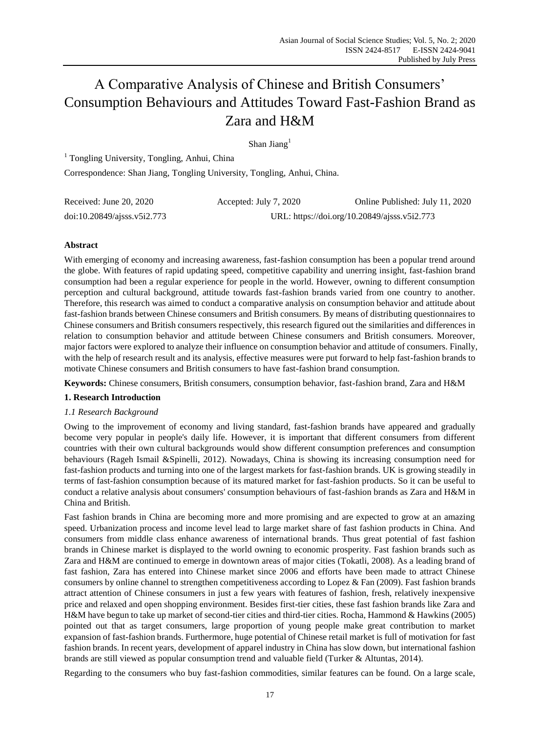# A Comparative Analysis of Chinese and British Consumers' Consumption Behaviours and Attitudes Toward Fast-Fashion Brand as Zara and H&M

Shan Jiang<sup>1</sup>

<sup>1</sup> Tongling University, Tongling, Anhui, China Correspondence: Shan Jiang, Tongling University, Tongling, Anhui, China.

| Received: June 20, 2020         | Accepted: July 7, 2020                       | Online Published: July 11, 2020 |
|---------------------------------|----------------------------------------------|---------------------------------|
| $doi:10.20849/a$ jsss. v5i2.773 | URL: https://doi.org/10.20849/ajsss.v5i2.773 |                                 |

# **Abstract**

With emerging of economy and increasing awareness, fast-fashion consumption has been a popular trend around the globe. With features of rapid updating speed, competitive capability and unerring insight, fast-fashion brand consumption had been a regular experience for people in the world. However, owning to different consumption perception and cultural background, attitude towards fast-fashion brands varied from one country to another. Therefore, this research was aimed to conduct a comparative analysis on consumption behavior and attitude about fast-fashion brands between Chinese consumers and British consumers. By means of distributing questionnaires to Chinese consumers and British consumers respectively, this research figured out the similarities and differences in relation to consumption behavior and attitude between Chinese consumers and British consumers. Moreover, major factors were explored to analyze their influence on consumption behavior and attitude of consumers. Finally, with the help of research result and its analysis, effective measures were put forward to help fast-fashion brands to motivate Chinese consumers and British consumers to have fast-fashion brand consumption.

**Keywords:** Chinese consumers, British consumers, consumption behavior, fast-fashion brand, Zara and H&M

# **1. Research Introduction**

# *1.1 Research Background*

Owing to the improvement of economy and living standard, fast-fashion brands have appeared and gradually become very popular in people's daily life. However, it is important that different consumers from different countries with their own cultural backgrounds would show different consumption preferences and consumption behaviours (Rageh Ismail &Spinelli, 2012). Nowadays, China is showing its increasing consumption need for fast-fashion products and turning into one of the largest markets for fast-fashion brands. UK is growing steadily in terms of fast-fashion consumption because of its matured market for fast-fashion products. So it can be useful to conduct a relative analysis about consumers' consumption behaviours of fast-fashion brands as Zara and H&M in China and British.

Fast fashion brands in China are becoming more and more promising and are expected to grow at an amazing speed. Urbanization process and income level lead to large market share of fast fashion products in China. And consumers from middle class enhance awareness of international brands. Thus great potential of fast fashion brands in Chinese market is displayed to the world owning to economic prosperity. Fast fashion brands such as Zara and H&M are continued to emerge in downtown areas of major cities (Tokatli, 2008). As a leading brand of fast fashion, Zara has entered into Chinese market since 2006 and efforts have been made to attract Chinese consumers by online channel to strengthen competitiveness according to Lopez & Fan (2009). Fast fashion brands attract attention of Chinese consumers in just a few years with features of fashion, fresh, relatively inexpensive price and relaxed and open shopping environment. Besides first-tier cities, these fast fashion brands like Zara and H&M have begun to take up market of second-tier cities and third-tier cities. Rocha, Hammond & Hawkins (2005) pointed out that as target consumers, large proportion of young people make great contribution to market expansion of fast-fashion brands. Furthermore, huge potential of Chinese retail market is full of motivation for fast fashion brands. In recent years, development of apparel industry in China has slow down, but international fashion brands are still viewed as popular consumption trend and valuable field (Turker & Altuntas, 2014).

Regarding to the consumers who buy fast-fashion commodities, similar features can be found. On a large scale,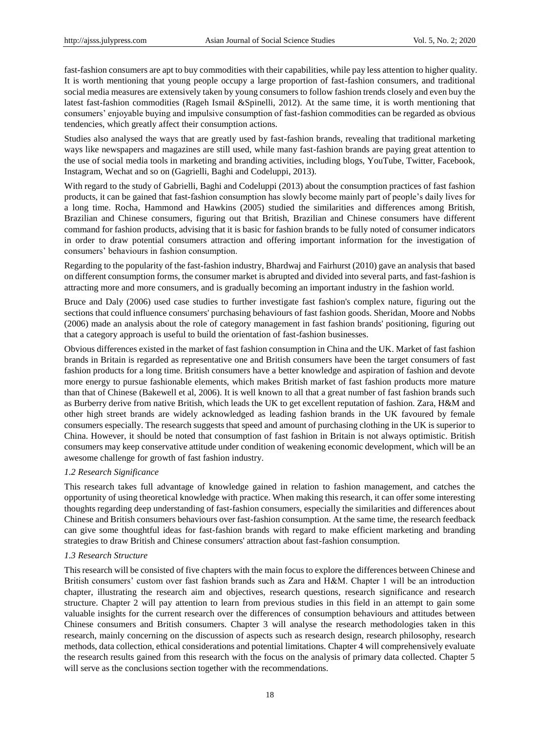fast-fashion consumers are apt to buy commodities with their capabilities, while pay less attention to higher quality. It is worth mentioning that young people occupy a large proportion of fast-fashion consumers, and traditional social media measures are extensively taken by young consumers to follow fashion trends closely and even buy the latest fast-fashion commodities (Rageh Ismail &Spinelli, 2012). At the same time, it is worth mentioning that consumers' enjoyable buying and impulsive consumption of fast-fashion commodities can be regarded as obvious tendencies, which greatly affect their consumption actions.

Studies also analysed the ways that are greatly used by fast-fashion brands, revealing that traditional marketing ways like newspapers and magazines are still used, while many fast-fashion brands are paying great attention to the use of social media tools in marketing and branding activities, including blogs, YouTube, Twitter, Facebook, Instagram, Wechat and so on (Gagrielli, Baghi and Codeluppi, 2013).

With regard to the study of Gabrielli, Baghi and Codeluppi (2013) about the consumption practices of fast fashion products, it can be gained that fast-fashion consumption has slowly become mainly part of people's daily lives for a long time. Rocha, Hammond and Hawkins (2005) studied the similarities and differences among British, Brazilian and Chinese consumers, figuring out that British, Brazilian and Chinese consumers have different command for fashion products, advising that it is basic for fashion brands to be fully noted of consumer indicators in order to draw potential consumers attraction and offering important information for the investigation of consumers' behaviours in fashion consumption.

Regarding to the popularity of the fast-fashion industry, Bhardwaj and Fairhurst (2010) gave an analysis that based on different consumption forms, the consumer market is abrupted and divided into several parts, and fast-fashion is attracting more and more consumers, and is gradually becoming an important industry in the fashion world.

Bruce and Daly (2006) used case studies to further investigate fast fashion's complex nature, figuring out the sections that could influence consumers' purchasing behaviours of fast fashion goods. Sheridan, Moore and Nobbs (2006) made an analysis about the role of category management in fast fashion brands' positioning, figuring out that a category approach is useful to build the orientation of fast-fashion businesses.

Obvious differences existed in the market of fast fashion consumption in China and the UK. Market of fast fashion brands in Britain is regarded as representative one and British consumers have been the target consumers of fast fashion products for a long time. British consumers have a better knowledge and aspiration of fashion and devote more energy to pursue fashionable elements, which makes British market of fast fashion products more mature than that of Chinese (Bakewell et al, 2006). It is well known to all that a great number of fast fashion brands such as Burberry derive from native British, which leads the UK to get excellent reputation of fashion. Zara, H&M and other high street brands are widely acknowledged as leading fashion brands in the UK favoured by female consumers especially. The research suggests that speed and amount of purchasing clothing in the UK is superior to China. However, it should be noted that consumption of fast fashion in Britain is not always optimistic. British consumers may keep conservative attitude under condition of weakening economic development, which will be an awesome challenge for growth of fast fashion industry.

## *1.2 Research Significance*

This research takes full advantage of knowledge gained in relation to fashion management, and catches the opportunity of using theoretical knowledge with practice. When making this research, it can offer some interesting thoughts regarding deep understanding of fast-fashion consumers, especially the similarities and differences about Chinese and British consumers behaviours over fast-fashion consumption. At the same time, the research feedback can give some thoughtful ideas for fast-fashion brands with regard to make efficient marketing and branding strategies to draw British and Chinese consumers' attraction about fast-fashion consumption.

## *1.3 Research Structure*

This research will be consisted of five chapters with the main focus to explore the differences between Chinese and British consumers' custom over fast fashion brands such as Zara and H&M. Chapter 1 will be an introduction chapter, illustrating the research aim and objectives, research questions, research significance and research structure. Chapter 2 will pay attention to learn from previous studies in this field in an attempt to gain some valuable insights for the current research over the differences of consumption behaviours and attitudes between Chinese consumers and British consumers. Chapter 3 will analyse the research methodologies taken in this research, mainly concerning on the discussion of aspects such as research design, research philosophy, research methods, data collection, ethical considerations and potential limitations. Chapter 4 will comprehensively evaluate the research results gained from this research with the focus on the analysis of primary data collected. Chapter 5 will serve as the conclusions section together with the recommendations.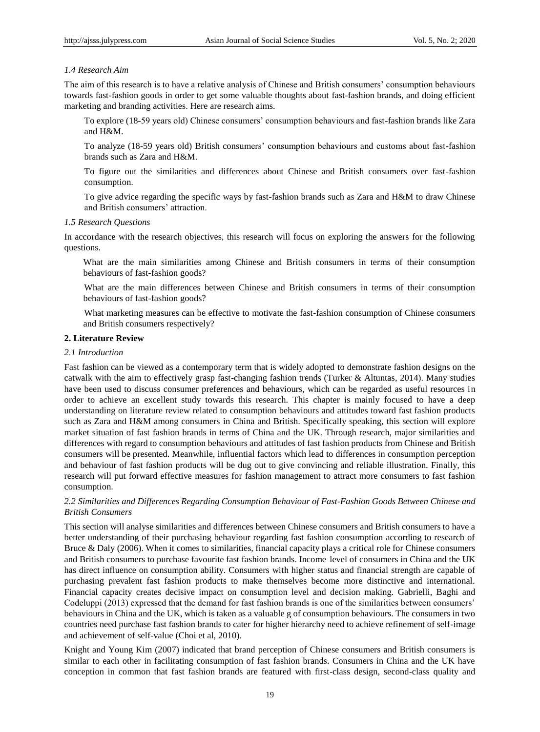## *1.4 Research Aim*

The aim of this research is to have a relative analysis of Chinese and British consumers' consumption behaviours towards fast-fashion goods in order to get some valuable thoughts about fast-fashion brands, and doing efficient marketing and branding activities. Here are research aims.

To explore (18-59 years old) Chinese consumers' consumption behaviours and fast-fashion brands like Zara and H&M.

To analyze (18-59 years old) British consumers' consumption behaviours and customs about fast-fashion brands such as Zara and H&M.

To figure out the similarities and differences about Chinese and British consumers over fast-fashion consumption.

To give advice regarding the specific ways by fast-fashion brands such as Zara and H&M to draw Chinese and British consumers' attraction.

## *1.5 Research Questions*

In accordance with the research objectives, this research will focus on exploring the answers for the following questions.

What are the main similarities among Chinese and British consumers in terms of their consumption behaviours of fast-fashion goods?

What are the main differences between Chinese and British consumers in terms of their consumption behaviours of fast-fashion goods?

What marketing measures can be effective to motivate the fast-fashion consumption of Chinese consumers and British consumers respectively?

#### **2. Literature Review**

## *2.1 Introduction*

Fast fashion can be viewed as a contemporary term that is widely adopted to demonstrate fashion designs on the catwalk with the aim to effectively grasp fast-changing fashion trends (Turker & Altuntas, 2014). Many studies have been used to discuss consumer preferences and behaviours, which can be regarded as useful resources in order to achieve an excellent study towards this research. This chapter is mainly focused to have a deep understanding on literature review related to consumption behaviours and attitudes toward fast fashion products such as Zara and H&M among consumers in China and British. Specifically speaking, this section will explore market situation of fast fashion brands in terms of China and the UK. Through research, major similarities and differences with regard to consumption behaviours and attitudes of fast fashion products from Chinese and British consumers will be presented. Meanwhile, influential factors which lead to differences in consumption perception and behaviour of fast fashion products will be dug out to give convincing and reliable illustration. Finally, this research will put forward effective measures for fashion management to attract more consumers to fast fashion consumption.

## *2.2 Similarities and Differences Regarding Consumption Behaviour of Fast-Fashion Goods Between Chinese and British Consumers*

This section will analyse similarities and differences between Chinese consumers and British consumers to have a better understanding of their purchasing behaviour regarding fast fashion consumption according to research of Bruce & Daly (2006). When it comes to similarities, financial capacity plays a critical role for Chinese consumers and British consumers to purchase favourite fast fashion brands. Income level of consumers in China and the UK has direct influence on consumption ability. Consumers with higher status and financial strength are capable of purchasing prevalent fast fashion products to make themselves become more distinctive and international. Financial capacity creates decisive impact on consumption level and decision making. Gabrielli, Baghi and Codeluppi (2013) expressed that the demand for fast fashion brands is one of the similarities between consumers' behaviours in China and the UK, which is taken as a valuable g of consumption behaviours. The consumers in two countries need purchase fast fashion brands to cater for higher hierarchy need to achieve refinement of self-image and achievement of self-value (Choi et al, 2010).

Knight and Young Kim (2007) indicated that brand perception of Chinese consumers and British consumers is similar to each other in facilitating consumption of fast fashion brands. Consumers in China and the UK have conception in common that fast fashion brands are featured with first-class design, second-class quality and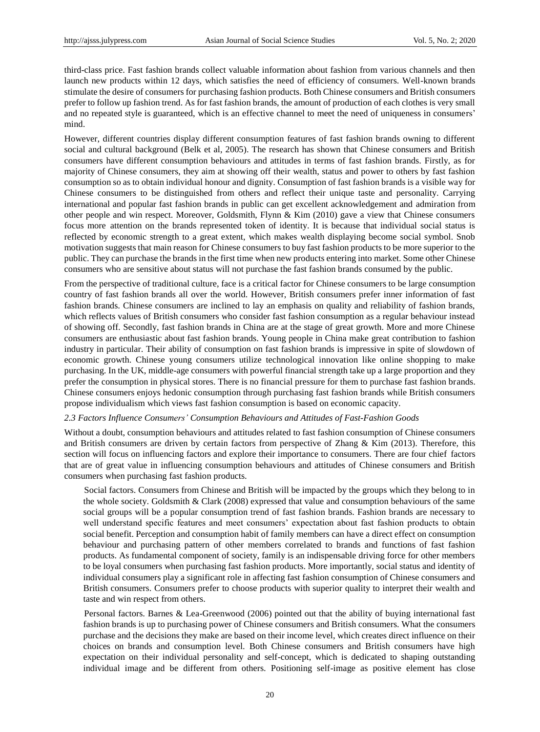third-class price. Fast fashion brands collect valuable information about fashion from various channels and then launch new products within 12 days, which satisfies the need of efficiency of consumers. Well-known brands stimulate the desire of consumers for purchasing fashion products. Both Chinese consumers and British consumers prefer to follow up fashion trend. As for fast fashion brands, the amount of production of each clothes is very small and no repeated style is guaranteed, which is an effective channel to meet the need of uniqueness in consumers' mind.

However, different countries display different consumption features of fast fashion brands owning to different social and cultural background (Belk et al, 2005). The research has shown that Chinese consumers and British consumers have different consumption behaviours and attitudes in terms of fast fashion brands. Firstly, as for majority of Chinese consumers, they aim at showing off their wealth, status and power to others by fast fashion consumption so as to obtain individual honour and dignity. Consumption of fast fashion brands is a visible way for Chinese consumers to be distinguished from others and reflect their unique taste and personality. Carrying international and popular fast fashion brands in public can get excellent acknowledgement and admiration from other people and win respect. Moreover, Goldsmith, Flynn & Kim (2010) gave a view that Chinese consumers focus more attention on the brands represented token of identity. It is because that individual social status is reflected by economic strength to a great extent, which makes wealth displaying become social symbol. Snob motivation suggests that main reason for Chinese consumers to buy fast fashion products to be more superior to the public. They can purchase the brands in the first time when new products entering into market. Some other Chinese consumers who are sensitive about status will not purchase the fast fashion brands consumed by the public.

From the perspective of traditional culture, face is a critical factor for Chinese consumers to be large consumption country of fast fashion brands all over the world. However, British consumers prefer inner information of fast fashion brands. Chinese consumers are inclined to lay an emphasis on quality and reliability of fashion brands, which reflects values of British consumers who consider fast fashion consumption as a regular behaviour instead of showing off. Secondly, fast fashion brands in China are at the stage of great growth. More and more Chinese consumers are enthusiastic about fast fashion brands. Young people in China make great contribution to fashion industry in particular. Their ability of consumption on fast fashion brands is impressive in spite of slowdown of economic growth. Chinese young consumers utilize technological innovation like online shopping to make purchasing. In the UK, middle-age consumers with powerful financial strength take up a large proportion and they prefer the consumption in physical stores. There is no financial pressure for them to purchase fast fashion brands. Chinese consumers enjoys hedonic consumption through purchasing fast fashion brands while British consumers propose individualism which views fast fashion consumption is based on economic capacity.

#### *2.3 Factors Influence Consumers' Consumption Behaviours and Attitudes of Fast-Fashion Goods*

Without a doubt, consumption behaviours and attitudes related to fast fashion consumption of Chinese consumers and British consumers are driven by certain factors from perspective of Zhang & Kim (2013). Therefore, this section will focus on influencing factors and explore their importance to consumers. There are four chief factors that are of great value in influencing consumption behaviours and attitudes of Chinese consumers and British consumers when purchasing fast fashion products.

Social factors. Consumers from Chinese and British will be impacted by the groups which they belong to in the whole society. Goldsmith & Clark (2008) expressed that value and consumption behaviours of the same social groups will be a popular consumption trend of fast fashion brands. Fashion brands are necessary to well understand specific features and meet consumers' expectation about fast fashion products to obtain social benefit. Perception and consumption habit of family members can have a direct effect on consumption behaviour and purchasing pattern of other members correlated to brands and functions of fast fashion products. As fundamental component of society, family is an indispensable driving force for other members to be loyal consumers when purchasing fast fashion products. More importantly, social status and identity of individual consumers play a significant role in affecting fast fashion consumption of Chinese consumers and British consumers. Consumers prefer to choose products with superior quality to interpret their wealth and taste and win respect from others.

Personal factors. Barnes & Lea-Greenwood (2006) pointed out that the ability of buying international fast fashion brands is up to purchasing power of Chinese consumers and British consumers. What the consumers purchase and the decisions they make are based on their income level, which creates direct influence on their choices on brands and consumption level. Both Chinese consumers and British consumers have high expectation on their individual personality and self-concept, which is dedicated to shaping outstanding individual image and be different from others. Positioning self-image as positive element has close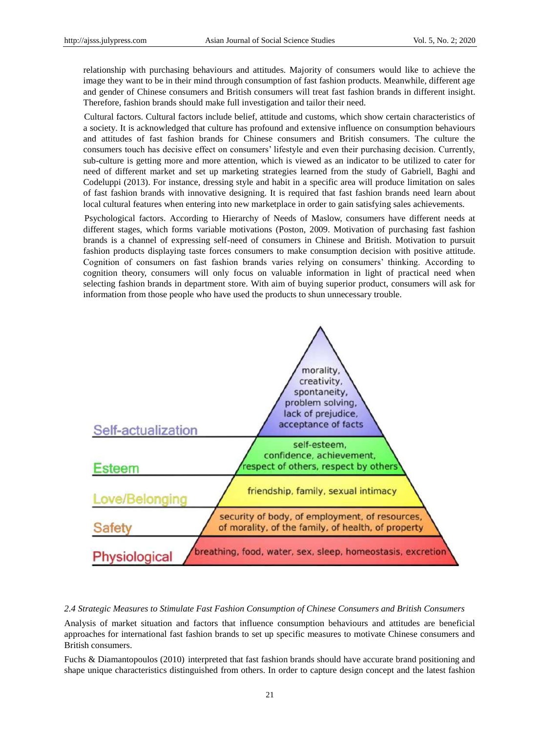relationship with purchasing behaviours and attitudes. Majority of consumers would like to achieve the image they want to be in their mind through consumption of fast fashion products. Meanwhile, different age and gender of Chinese consumers and British consumers will treat fast fashion brands in different insight. Therefore, fashion brands should make full investigation and tailor their need.

Cultural factors. Cultural factors include belief, attitude and customs, which show certain characteristics of a society. It is acknowledged that culture has profound and extensive influence on consumption behaviours and attitudes of fast fashion brands for Chinese consumers and British consumers. The culture the consumers touch has decisive effect on consumers' lifestyle and even their purchasing decision. Currently, sub-culture is getting more and more attention, which is viewed as an indicator to be utilized to cater for need of different market and set up marketing strategies learned from the study of Gabriell, Baghi and Codeluppi (2013). For instance, dressing style and habit in a specific area will produce limitation on sales of fast fashion brands with innovative designing. It is required that fast fashion brands need learn about local cultural features when entering into new marketplace in order to gain satisfying sales achievements.

Psychological factors. According to Hierarchy of Needs of Maslow, consumers have different needs at different stages, which forms variable motivations (Poston*,* 2009. Motivation of purchasing fast fashion brands is a channel of expressing self-need of consumers in Chinese and British. Motivation to pursuit fashion products displaying taste forces consumers to make consumption decision with positive attitude. Cognition of consumers on fast fashion brands varies relying on consumers' thinking. According to cognition theory, consumers will only focus on valuable information in light of practical need when selecting fashion brands in department store. With aim of buying superior product, consumers will ask for information from those people who have used the products to shun unnecessary trouble.



*2.4 Strategic Measures to Stimulate Fast Fashion Consumption of Chinese Consumers and British Consumers*

Analysis of market situation and factors that influence consumption behaviours and attitudes are beneficial approaches for international fast fashion brands to set up specific measures to motivate Chinese consumers and British consumers.

Fuchs & Diamantopoulos (2010) interpreted that fast fashion brands should have accurate brand positioning and shape unique characteristics distinguished from others. In order to capture design concept and the latest fashion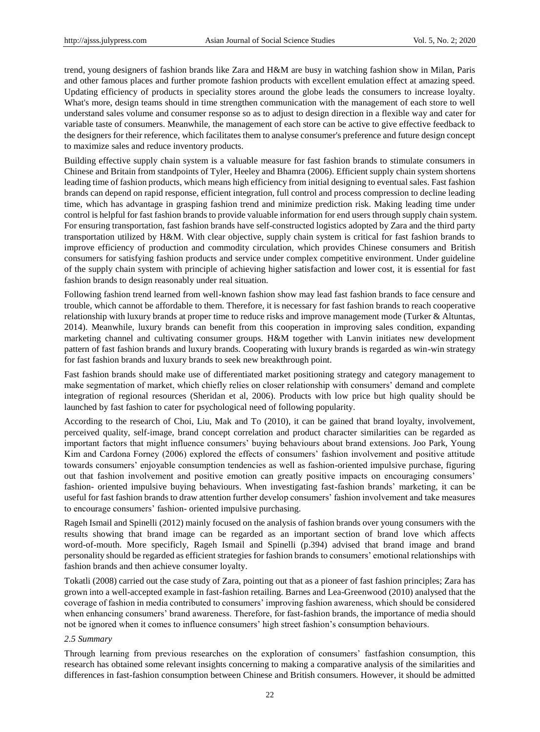trend, young designers of fashion brands like Zara and H&M are busy in watching fashion show in Milan, Paris and other famous places and further promote fashion products with excellent emulation effect at amazing speed. Updating efficiency of products in speciality stores around the globe leads the consumers to increase loyalty. What's more, design teams should in time strengthen communication with the management of each store to well understand sales volume and consumer response so as to adjust to design direction in a flexible way and cater for variable taste of consumers. Meanwhile, the management of each store can be active to give effective feedback to the designers for their reference, which facilitates them to analyse consumer's preference and future design concept to maximize sales and reduce inventory products.

Building effective supply chain system is a valuable measure for fast fashion brands to stimulate consumers in Chinese and Britain from standpoints of Tyler, Heeley and Bhamra (2006). Efficient supply chain system shortens leading time of fashion products, which means high efficiency from initial designing to eventual sales. Fast fashion brands can depend on rapid response, efficient integration, full control and process compression to decline leading time, which has advantage in grasping fashion trend and minimize prediction risk. Making leading time under control is helpful for fast fashion brands to provide valuable information for end users through supply chain system. For ensuring transportation, fast fashion brands have self-constructed logistics adopted by Zara and the third party transportation utilized by H&M. With clear objective, supply chain system is critical for fast fashion brands to improve efficiency of production and commodity circulation, which provides Chinese consumers and British consumers for satisfying fashion products and service under complex competitive environment. Under guideline of the supply chain system with principle of achieving higher satisfaction and lower cost, it is essential for fast fashion brands to design reasonably under real situation.

Following fashion trend learned from well-known fashion show may lead fast fashion brands to face censure and trouble, which cannot be affordable to them. Therefore, it is necessary for fast fashion brands to reach cooperative relationship with luxury brands at proper time to reduce risks and improve management mode (Turker & Altuntas, 2014). Meanwhile, luxury brands can benefit from this cooperation in improving sales condition, expanding marketing channel and cultivating consumer groups. H&M together with Lanvin initiates new development pattern of fast fashion brands and luxury brands. Cooperating with luxury brands is regarded as win-win strategy for fast fashion brands and luxury brands to seek new breakthrough point.

Fast fashion brands should make use of differentiated market positioning strategy and category management to make segmentation of market, which chiefly relies on closer relationship with consumers' demand and complete integration of regional resources (Sheridan et al, 2006). Products with low price but high quality should be launched by fast fashion to cater for psychological need of following popularity.

According to the research of Choi, Liu, Mak and To (2010), it can be gained that brand loyalty, involvement, perceived quality, self-image, brand concept correlation and product character similarities can be regarded as important factors that might influence consumers' buying behaviours about brand extensions. Joo Park, Young Kim and Cardona Forney (2006) explored the effects of consumers' fashion involvement and positive attitude towards consumers' enjoyable consumption tendencies as well as fashion-oriented impulsive purchase, figuring out that fashion involvement and positive emotion can greatly positive impacts on encouraging consumers' fashion- oriented impulsive buying behaviours. When investigating fast-fashion brands' marketing, it can be useful for fast fashion brands to draw attention further develop consumers' fashion involvement and take measures to encourage consumers' fashion- oriented impulsive purchasing.

Rageh Ismail and Spinelli (2012) mainly focused on the analysis of fashion brands over young consumers with the results showing that brand image can be regarded as an important section of brand love which affects word-of-mouth. More specificly, Rageh Ismail and Spinelli (p.394) advised that brand image and brand personality should be regarded as efficient strategies for fashion brands to consumers' emotional relationships with fashion brands and then achieve consumer loyalty.

Tokatli (2008) carried out the case study of Zara, pointing out that as a pioneer of fast fashion principles; Zara has grown into a well-accepted example in fast-fashion retailing. Barnes and Lea-Greenwood (2010) analysed that the coverage of fashion in media contributed to consumers' improving fashion awareness, which should be considered when enhancing consumers' brand awareness. Therefore, for fast-fashion brands, the importance of media should not be ignored when it comes to influence consumers' high street fashion's consumption behaviours.

#### *2.5 Summary*

Through learning from previous researches on the exploration of consumers' fastfashion consumption, this research has obtained some relevant insights concerning to making a comparative analysis of the similarities and differences in fast-fashion consumption between Chinese and British consumers. However, it should be admitted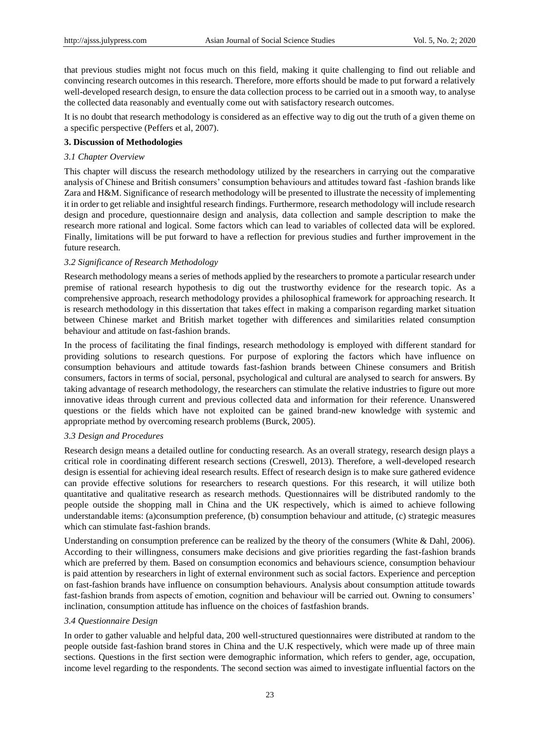that previous studies might not focus much on this field, making it quite challenging to find out reliable and convincing research outcomes in this research. Therefore, more efforts should be made to put forward a relatively well-developed research design, to ensure the data collection process to be carried out in a smooth way, to analyse the collected data reasonably and eventually come out with satisfactory research outcomes.

It is no doubt that research methodology is considered as an effective way to dig out the truth of a given theme on a specific perspective (Peffers et al, 2007).

## **3. Discussion of Methodologies**

#### *3.1 Chapter Overview*

This chapter will discuss the research methodology utilized by the researchers in carrying out the comparative analysis of Chinese and British consumers' consumption behaviours and attitudes toward fast -fashion brands like Zara and H&M. Significance of research methodology will be presented to illustrate the necessity of implementing it in order to get reliable and insightful research findings. Furthermore, research methodology will include research design and procedure, questionnaire design and analysis, data collection and sample description to make the research more rational and logical. Some factors which can lead to variables of collected data will be explored. Finally, limitations will be put forward to have a reflection for previous studies and further improvement in the future research.

#### *3.2 Significance of Research Methodology*

Research methodology means a series of methods applied by the researchers to promote a particular research under premise of rational research hypothesis to dig out the trustworthy evidence for the research topic. As a comprehensive approach, research methodology provides a philosophical framework for approaching research. It is research methodology in this dissertation that takes effect in making a comparison regarding market situation between Chinese market and British market together with differences and similarities related consumption behaviour and attitude on fast-fashion brands.

In the process of facilitating the final findings, research methodology is employed with different standard for providing solutions to research questions. For purpose of exploring the factors which have influence on consumption behaviours and attitude towards fast-fashion brands between Chinese consumers and British consumers, factors in terms of social, personal, psychological and cultural are analysed to search for answers. By taking advantage of research methodology, the researchers can stimulate the relative industries to figure out more innovative ideas through current and previous collected data and information for their reference. Unanswered questions or the fields which have not exploited can be gained brand-new knowledge with systemic and appropriate method by overcoming research problems (Burck, 2005).

## *3.3 Design and Procedures*

Research design means a detailed outline for conducting research. As an overall strategy, research design plays a critical role in coordinating different research sections (Creswell, 2013). Therefore, a well-developed research design is essential for achieving ideal research results. Effect of research design is to make sure gathered evidence can provide effective solutions for researchers to research questions. For this research, it will utilize both quantitative and qualitative research as research methods. Questionnaires will be distributed randomly to the people outside the shopping mall in China and the UK respectively, which is aimed to achieve following understandable items: (a)consumption preference, (b) consumption behaviour and attitude, (c) strategic measures which can stimulate fast-fashion brands.

Understanding on consumption preference can be realized by the theory of the consumers (White & Dahl, 2006). According to their willingness, consumers make decisions and give priorities regarding the fast-fashion brands which are preferred by them. Based on consumption economics and behaviours science, consumption behaviour is paid attention by researchers in light of external environment such as social factors. Experience and perception on fast-fashion brands have influence on consumption behaviours. Analysis about consumption attitude towards fast-fashion brands from aspects of emotion, cognition and behaviour will be carried out. Owning to consumers' inclination, consumption attitude has influence on the choices of fastfashion brands.

## *3.4 Questionnaire Design*

In order to gather valuable and helpful data, 200 well-structured questionnaires were distributed at random to the people outside fast-fashion brand stores in China and the U.K respectively, which were made up of three main sections. Questions in the first section were demographic information, which refers to gender, age, occupation, income level regarding to the respondents. The second section was aimed to investigate influential factors on the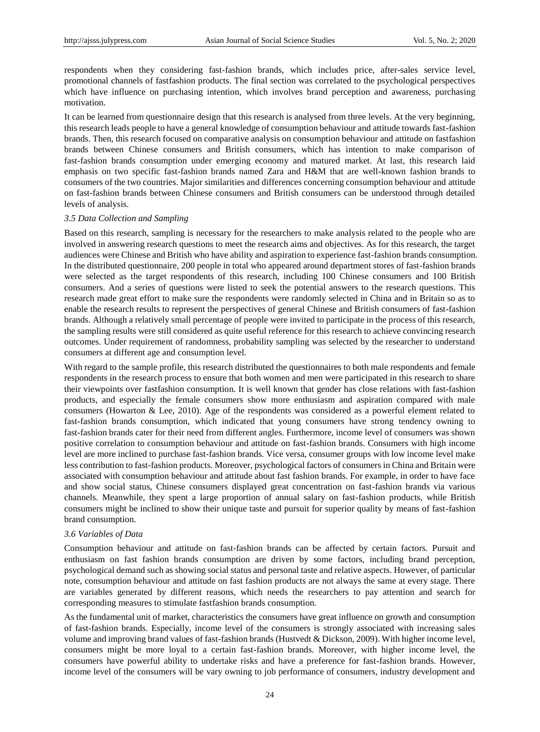respondents when they considering fast-fashion brands, which includes price, after-sales service level, promotional channels of fastfashion products. The final section was correlated to the psychological perspectives which have influence on purchasing intention, which involves brand perception and awareness, purchasing motivation.

It can be learned from questionnaire design that this research is analysed from three levels. At the very beginning, this research leads people to have a general knowledge of consumption behaviour and attitude towards fast-fashion brands. Then, this research focused on comparative analysis on consumption behaviour and attitude on fastfashion brands between Chinese consumers and British consumers, which has intention to make comparison of fast-fashion brands consumption under emerging economy and matured market. At last, this research laid emphasis on two specific fast-fashion brands named Zara and H&M that are well-known fashion brands to consumers of the two countries. Major similarities and differences concerning consumption behaviour and attitude on fast-fashion brands between Chinese consumers and British consumers can be understood through detailed levels of analysis.

#### *3.5 Data Collection and Sampling*

Based on this research, sampling is necessary for the researchers to make analysis related to the people who are involved in answering research questions to meet the research aims and objectives. As for this research, the target audiences were Chinese and British who have ability and aspiration to experience fast-fashion brands consumption. In the distributed questionnaire, 200 people in total who appeared around department stores of fast-fashion brands were selected as the target respondents of this research, including 100 Chinese consumers and 100 British consumers. And a series of questions were listed to seek the potential answers to the research questions. This research made great effort to make sure the respondents were randomly selected in China and in Britain so as to enable the research results to represent the perspectives of general Chinese and British consumers of fast-fashion brands. Although a relatively small percentage of people were invited to participate in the process of this research, the sampling results were still considered as quite useful reference for this research to achieve convincing research outcomes. Under requirement of randomness, probability sampling was selected by the researcher to understand consumers at different age and consumption level.

With regard to the sample profile, this research distributed the questionnaires to both male respondents and female respondents in the research process to ensure that both women and men were participated in this research to share their viewpoints over fastfashion consumption. It is well known that gender has close relations with fast-fashion products, and especially the female consumers show more enthusiasm and aspiration compared with male consumers (Howarton & Lee, 2010). Age of the respondents was considered as a powerful element related to fast-fashion brands consumption, which indicated that young consumers have strong tendency owning to fast-fashion brands cater for their need from different angles. Furthermore, income level of consumers was shown positive correlation to consumption behaviour and attitude on fast-fashion brands. Consumers with high income level are more inclined to purchase fast-fashion brands. Vice versa, consumer groups with low income level make less contribution to fast-fashion products. Moreover, psychological factors of consumers in China and Britain were associated with consumption behaviour and attitude about fast fashion brands. For example, in order to have face and show social status, Chinese consumers displayed great concentration on fast-fashion brands via various channels. Meanwhile, they spent a large proportion of annual salary on fast-fashion products, while British consumers might be inclined to show their unique taste and pursuit for superior quality by means of fast-fashion brand consumption.

## *3.6 Variables of Data*

Consumption behaviour and attitude on fast-fashion brands can be affected by certain factors. Pursuit and enthusiasm on fast fashion brands consumption are driven by some factors, including brand perception, psychological demand such as showing social status and personal taste and relative aspects. However, of particular note, consumption behaviour and attitude on fast fashion products are not always the same at every stage. There are variables generated by different reasons, which needs the researchers to pay attention and search for corresponding measures to stimulate fastfashion brands consumption.

As the fundamental unit of market, characteristics the consumers have great influence on growth and consumption of fast-fashion brands. Especially, income level of the consumers is strongly associated with increasing sales volume and improving brand values of fast-fashion brands (Hustvedt & Dickson, 2009). With higher income level, consumers might be more loyal to a certain fast-fashion brands. Moreover, with higher income level, the consumers have powerful ability to undertake risks and have a preference for fast-fashion brands. However, income level of the consumers will be vary owning to job performance of consumers, industry development and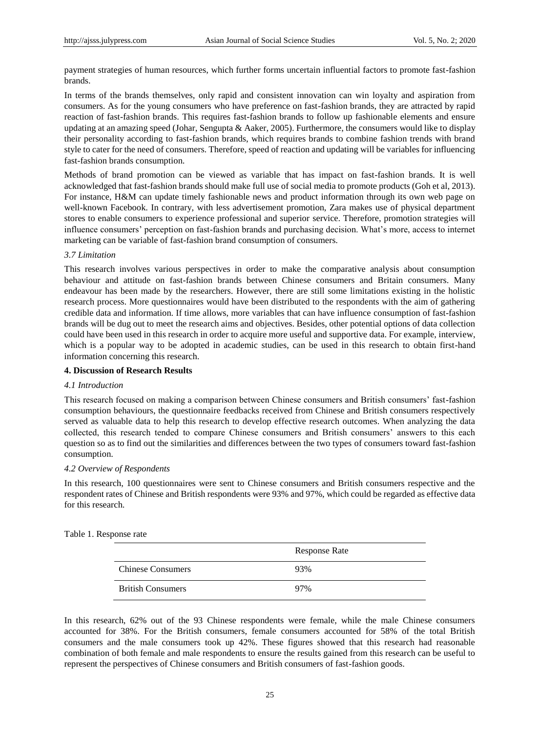payment strategies of human resources, which further forms uncertain influential factors to promote fast-fashion brands.

In terms of the brands themselves, only rapid and consistent innovation can win loyalty and aspiration from consumers. As for the young consumers who have preference on fast-fashion brands, they are attracted by rapid reaction of fast-fashion brands. This requires fast-fashion brands to follow up fashionable elements and ensure updating at an amazing speed (Johar, Sengupta & Aaker, 2005). Furthermore, the consumers would like to display their personality according to fast-fashion brands, which requires brands to combine fashion trends with brand style to cater for the need of consumers. Therefore, speed of reaction and updating will be variables for influencing fast-fashion brands consumption.

Methods of brand promotion can be viewed as variable that has impact on fast-fashion brands. It is well acknowledged that fast-fashion brands should make full use of social media to promote products (Goh et al, 2013). For instance, H&M can update timely fashionable news and product information through its own web page on well-known Facebook. In contrary, with less advertisement promotion, Zara makes use of physical department stores to enable consumers to experience professional and superior service. Therefore, promotion strategies will influence consumers' perception on fast-fashion brands and purchasing decision. What's more, access to internet marketing can be variable of fast-fashion brand consumption of consumers.

## *3.7 Limitation*

This research involves various perspectives in order to make the comparative analysis about consumption behaviour and attitude on fast-fashion brands between Chinese consumers and Britain consumers. Many endeavour has been made by the researchers. However, there are still some limitations existing in the holistic research process. More questionnaires would have been distributed to the respondents with the aim of gathering credible data and information. If time allows, more variables that can have influence consumption of fast-fashion brands will be dug out to meet the research aims and objectives. Besides, other potential options of data collection could have been used in this research in order to acquire more useful and supportive data. For example, interview, which is a popular way to be adopted in academic studies, can be used in this research to obtain first-hand information concerning this research.

#### **4. Discussion of Research Results**

#### *4.1 Introduction*

This research focused on making a comparison between Chinese consumers and British consumers' fast-fashion consumption behaviours, the questionnaire feedbacks received from Chinese and British consumers respectively served as valuable data to help this research to develop effective research outcomes. When analyzing the data collected, this research tended to compare Chinese consumers and British consumers' answers to this each question so as to find out the similarities and differences between the two types of consumers toward fast-fashion consumption.

## *4.2 Overview of Respondents*

In this research, 100 questionnaires were sent to Chinese consumers and British consumers respective and the respondent rates of Chinese and British respondents were 93% and 97%, which could be regarded as effective data for this research.

|                          | <b>Response Rate</b> |
|--------------------------|----------------------|
| <b>Chinese Consumers</b> | 93%                  |
| <b>British Consumers</b> | 97%                  |

#### Table 1. Response rate

In this research, 62% out of the 93 Chinese respondents were female, while the male Chinese consumers accounted for 38%. For the British consumers, female consumers accounted for 58% of the total British consumers and the male consumers took up 42%. These figures showed that this research had reasonable combination of both female and male respondents to ensure the results gained from this research can be useful to represent the perspectives of Chinese consumers and British consumers of fast-fashion goods.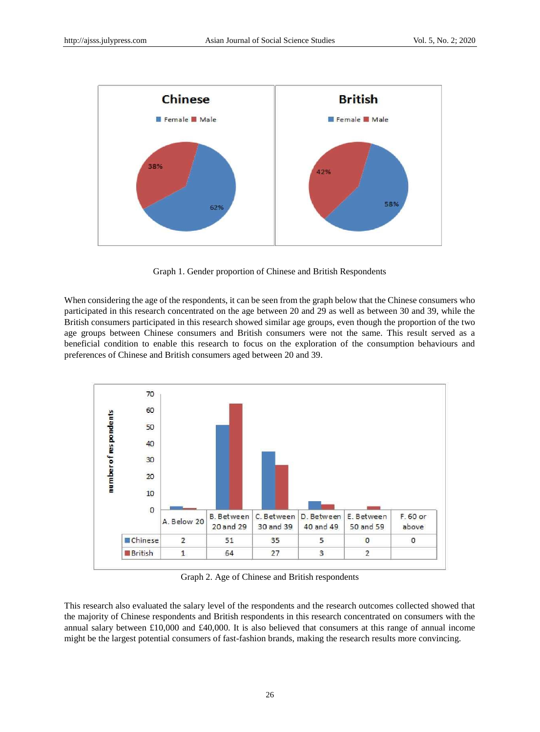

Graph 1. Gender proportion of Chinese and British Respondents

When considering the age of the respondents, it can be seen from the graph below that the Chinese consumers who participated in this research concentrated on the age between 20 and 29 as well as between 30 and 39, while the British consumers participated in this research showed similar age groups, even though the proportion of the two age groups between Chinese consumers and British consumers were not the same. This result served as a beneficial condition to enable this research to focus on the exploration of the consumption behaviours and preferences of Chinese and British consumers aged between 20 and 39.



Graph 2. Age of Chinese and British respondents

This research also evaluated the salary level of the respondents and the research outcomes collected showed that the majority of Chinese respondents and British respondents in this research concentrated on consumers with the annual salary between £10,000 and £40,000. It is also believed that consumers at this range of annual income might be the largest potential consumers of fast-fashion brands, making the research results more convincing.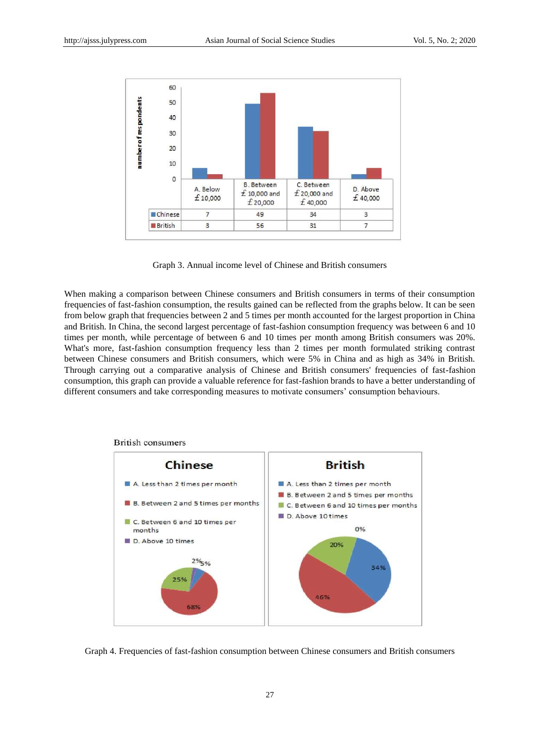

Graph 3. Annual income level of Chinese and British consumers

When making a comparison between Chinese consumers and British consumers in terms of their consumption frequencies of fast-fashion consumption, the results gained can be reflected from the graphs below. It can be seen from below graph that frequencies between 2 and 5 times per month accounted for the largest proportion in China and British. In China, the second largest percentage of fast-fashion consumption frequency was between 6 and 10 times per month, while percentage of between 6 and 10 times per month among British consumers was 20%. What's more, fast-fashion consumption frequency less than 2 times per month formulated striking contrast between Chinese consumers and British consumers, which were 5% in China and as high as 34% in British. Through carrying out a comparative analysis of Chinese and British consumers' frequencies of fast-fashion consumption, this graph can provide a valuable reference for fast-fashion brands to have a better understanding of different consumers and take corresponding measures to motivate consumers' consumption behaviours.



#### **British consumers**

Graph 4. Frequencies of fast-fashion consumption between Chinese consumers and British consumers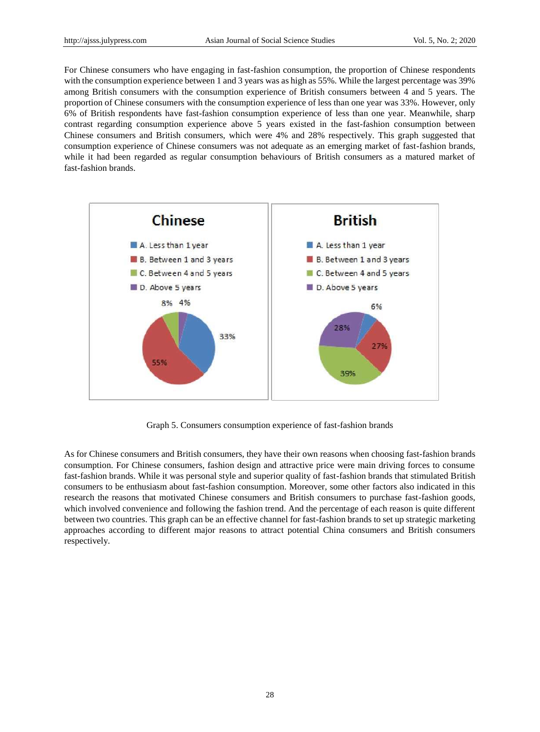For Chinese consumers who have engaging in fast-fashion consumption, the proportion of Chinese respondents with the consumption experience between 1 and 3 years was as high as 55%. While the largest percentage was 39% among British consumers with the consumption experience of British consumers between 4 and 5 years. The proportion of Chinese consumers with the consumption experience of less than one year was 33%. However, only 6% of British respondents have fast-fashion consumption experience of less than one year. Meanwhile, sharp contrast regarding consumption experience above 5 years existed in the fast-fashion consumption between Chinese consumers and British consumers, which were 4% and 28% respectively. This graph suggested that consumption experience of Chinese consumers was not adequate as an emerging market of fast-fashion brands, while it had been regarded as regular consumption behaviours of British consumers as a matured market of fast-fashion brands.



Graph 5. Consumers consumption experience of fast-fashion brands

As for Chinese consumers and British consumers, they have their own reasons when choosing fast-fashion brands consumption. For Chinese consumers, fashion design and attractive price were main driving forces to consume fast-fashion brands. While it was personal style and superior quality of fast-fashion brands that stimulated British consumers to be enthusiasm about fast-fashion consumption. Moreover, some other factors also indicated in this research the reasons that motivated Chinese consumers and British consumers to purchase fast-fashion goods, which involved convenience and following the fashion trend. And the percentage of each reason is quite different between two countries. This graph can be an effective channel for fast-fashion brands to set up strategic marketing approaches according to different major reasons to attract potential China consumers and British consumers respectively.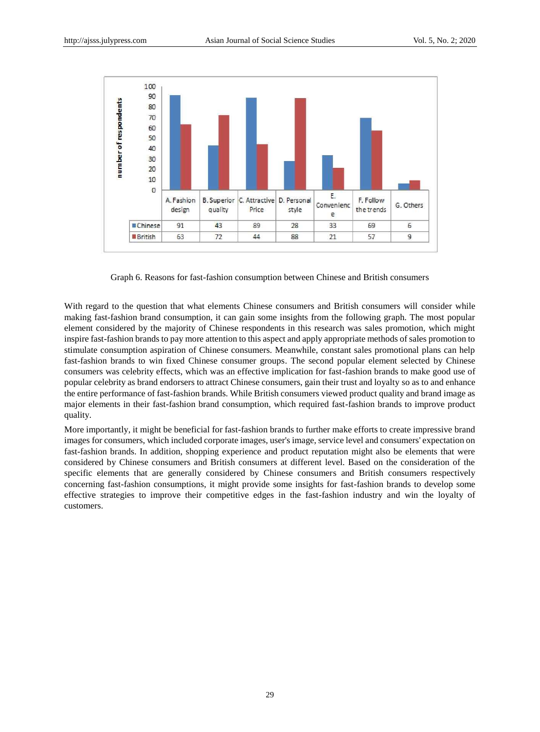

Graph 6. Reasons for fast-fashion consumption between Chinese and British consumers

With regard to the question that what elements Chinese consumers and British consumers will consider while making fast-fashion brand consumption, it can gain some insights from the following graph. The most popular element considered by the majority of Chinese respondents in this research was sales promotion, which might inspire fast-fashion brands to pay more attention to this aspect and apply appropriate methods of sales promotion to stimulate consumption aspiration of Chinese consumers. Meanwhile, constant sales promotional plans can help fast-fashion brands to win fixed Chinese consumer groups. The second popular element selected by Chinese consumers was celebrity effects, which was an effective implication for fast-fashion brands to make good use of popular celebrity as brand endorsers to attract Chinese consumers, gain their trust and loyalty so as to and enhance the entire performance of fast-fashion brands. While British consumers viewed product quality and brand image as major elements in their fast-fashion brand consumption, which required fast-fashion brands to improve product quality.

More importantly, it might be beneficial for fast-fashion brands to further make efforts to create impressive brand images for consumers, which included corporate images, user's image, service level and consumers' expectation on fast-fashion brands. In addition, shopping experience and product reputation might also be elements that were considered by Chinese consumers and British consumers at different level. Based on the consideration of the specific elements that are generally considered by Chinese consumers and British consumers respectively concerning fast-fashion consumptions, it might provide some insights for fast-fashion brands to develop some effective strategies to improve their competitive edges in the fast-fashion industry and win the loyalty of customers.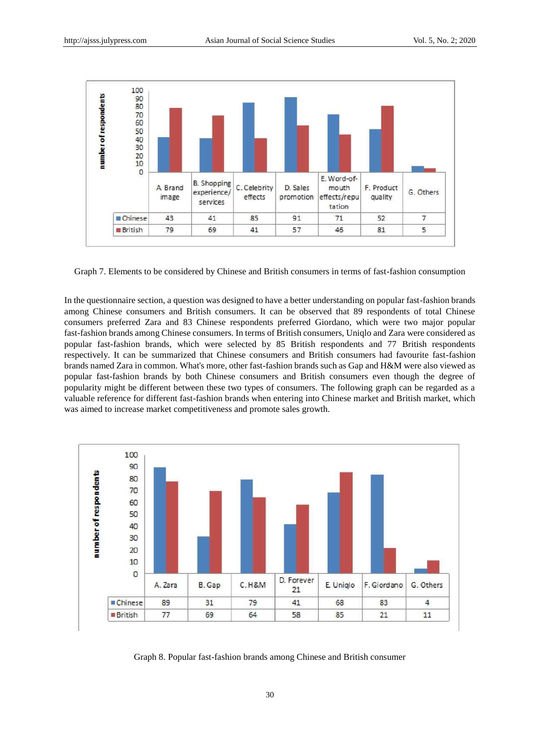

Graph 7. Elements to be considered by Chinese and British consumers in terms of fast-fashion consumption

In the questionnaire section, a question was designed to have a better understanding on popular fast-fashion brands among Chinese consumers and British consumers. It can be observed that 89 respondents of total Chinese consumers preferred Zara and 83 Chinese respondents preferred Giordano, which were two major popular fast-fashion brands among Chinese consumers. In terms of British consumers, Uniqlo and Zara were considered as popular fast-fashion brands, which were selected by 85 British respondents and 77 British respondents respectively. It can be summarized that Chinese consumers and British consumers had favourite fast-fashion brands named Zara in common. What's more, other fast-fashion brands such as Gap and H&M were also viewed as popular fast-fashion brands by both Chinese consumers and British consumers even though the degree of popularity might be different between these two types of consumers. The following graph can be regarded as a valuable reference for different fast-fashion brands when entering into Chinese market and British market, which was aimed to increase market competitiveness and promote sales growth.



Graph 8. Popular fast-fashion brands among Chinese and British consumer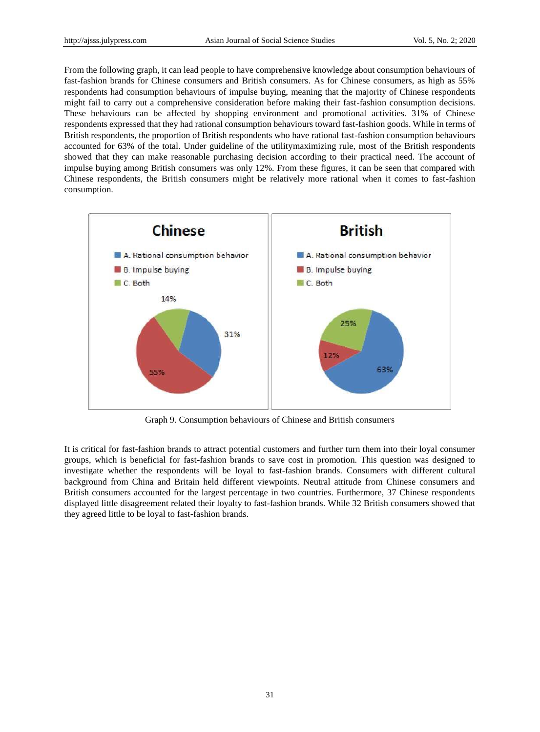From the following graph, it can lead people to have comprehensive knowledge about consumption behaviours of fast-fashion brands for Chinese consumers and British consumers. As for Chinese consumers, as high as 55% respondents had consumption behaviours of impulse buying, meaning that the majority of Chinese respondents might fail to carry out a comprehensive consideration before making their fast-fashion consumption decisions. These behaviours can be affected by shopping environment and promotional activities. 31% of Chinese respondents expressed that they had rational consumption behaviours toward fast-fashion goods. While in terms of British respondents, the proportion of British respondents who have rational fast-fashion consumption behaviours accounted for 63% of the total. Under guideline of the utilitymaximizing rule, most of the British respondents showed that they can make reasonable purchasing decision according to their practical need. The account of impulse buying among British consumers was only 12%. From these figures, it can be seen that compared with Chinese respondents, the British consumers might be relatively more rational when it comes to fast-fashion consumption.



Graph 9. Consumption behaviours of Chinese and British consumers

It is critical for fast-fashion brands to attract potential customers and further turn them into their loyal consumer groups, which is beneficial for fast-fashion brands to save cost in promotion. This question was designed to investigate whether the respondents will be loyal to fast-fashion brands. Consumers with different cultural background from China and Britain held different viewpoints. Neutral attitude from Chinese consumers and British consumers accounted for the largest percentage in two countries. Furthermore, 37 Chinese respondents displayed little disagreement related their loyalty to fast-fashion brands. While 32 British consumers showed that they agreed little to be loyal to fast-fashion brands.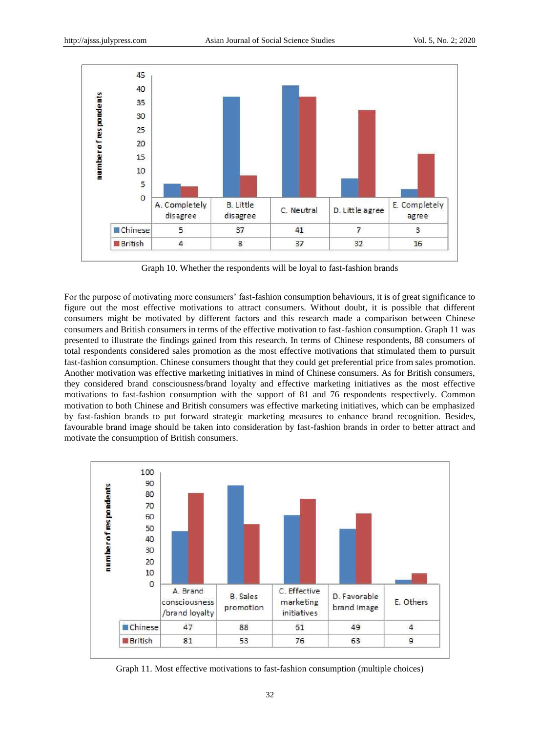

Graph 10. Whether the respondents will be loyal to fast-fashion brands

For the purpose of motivating more consumers' fast-fashion consumption behaviours, it is of great significance to figure out the most effective motivations to attract consumers. Without doubt, it is possible that different consumers might be motivated by different factors and this research made a comparison between Chinese consumers and British consumers in terms of the effective motivation to fast-fashion consumption. Graph 11 was presented to illustrate the findings gained from this research. In terms of Chinese respondents, 88 consumers of total respondents considered sales promotion as the most effective motivations that stimulated them to pursuit fast-fashion consumption. Chinese consumers thought that they could get preferential price from sales promotion. Another motivation was effective marketing initiatives in mind of Chinese consumers. As for British consumers, they considered brand consciousness/brand loyalty and effective marketing initiatives as the most effective motivations to fast-fashion consumption with the support of 81 and 76 respondents respectively. Common motivation to both Chinese and British consumers was effective marketing initiatives, which can be emphasized by fast-fashion brands to put forward strategic marketing measures to enhance brand recognition. Besides, favourable brand image should be taken into consideration by fast-fashion brands in order to better attract and motivate the consumption of British consumers.



Graph 11. Most effective motivations to fast-fashion consumption (multiple choices)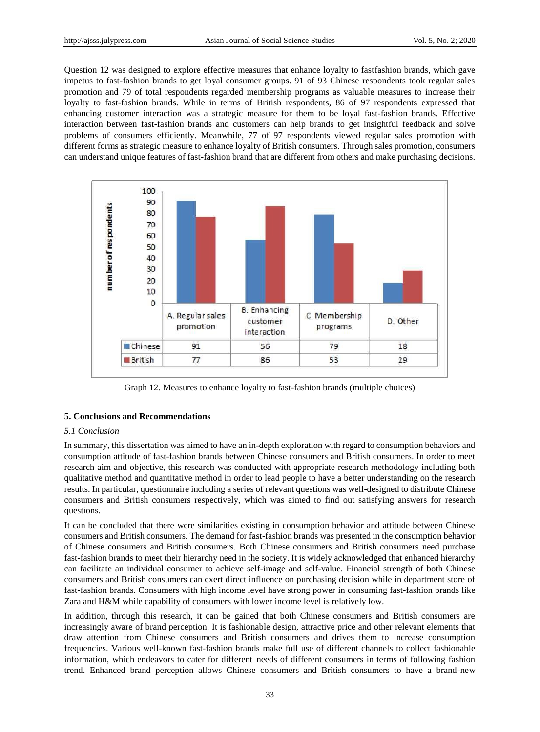Question 12 was designed to explore effective measures that enhance loyalty to fastfashion brands, which gave impetus to fast-fashion brands to get loyal consumer groups. 91 of 93 Chinese respondents took regular sales promotion and 79 of total respondents regarded membership programs as valuable measures to increase their loyalty to fast-fashion brands. While in terms of British respondents, 86 of 97 respondents expressed that enhancing customer interaction was a strategic measure for them to be loyal fast-fashion brands. Effective interaction between fast-fashion brands and customers can help brands to get insightful feedback and solve problems of consumers efficiently. Meanwhile, 77 of 97 respondents viewed regular sales promotion with different forms as strategic measure to enhance loyalty of British consumers. Through sales promotion, consumers can understand unique features of fast-fashion brand that are different from others and make purchasing decisions.



Graph 12. Measures to enhance loyalty to fast-fashion brands (multiple choices)

## **5. Conclusions and Recommendations**

## *5.1 Conclusion*

In summary, this dissertation was aimed to have an in-depth exploration with regard to consumption behaviors and consumption attitude of fast-fashion brands between Chinese consumers and British consumers. In order to meet research aim and objective, this research was conducted with appropriate research methodology including both qualitative method and quantitative method in order to lead people to have a better understanding on the research results. In particular, questionnaire including a series of relevant questions was well-designed to distribute Chinese consumers and British consumers respectively, which was aimed to find out satisfying answers for research questions.

It can be concluded that there were similarities existing in consumption behavior and attitude between Chinese consumers and British consumers. The demand for fast-fashion brands was presented in the consumption behavior of Chinese consumers and British consumers. Both Chinese consumers and British consumers need purchase fast-fashion brands to meet their hierarchy need in the society. It is widely acknowledged that enhanced hierarchy can facilitate an individual consumer to achieve self-image and self-value. Financial strength of both Chinese consumers and British consumers can exert direct influence on purchasing decision while in department store of fast-fashion brands. Consumers with high income level have strong power in consuming fast-fashion brands like Zara and H&M while capability of consumers with lower income level is relatively low.

In addition, through this research, it can be gained that both Chinese consumers and British consumers are increasingly aware of brand perception. It is fashionable design, attractive price and other relevant elements that draw attention from Chinese consumers and British consumers and drives them to increase consumption frequencies. Various well-known fast-fashion brands make full use of different channels to collect fashionable information, which endeavors to cater for different needs of different consumers in terms of following fashion trend. Enhanced brand perception allows Chinese consumers and British consumers to have a brand-new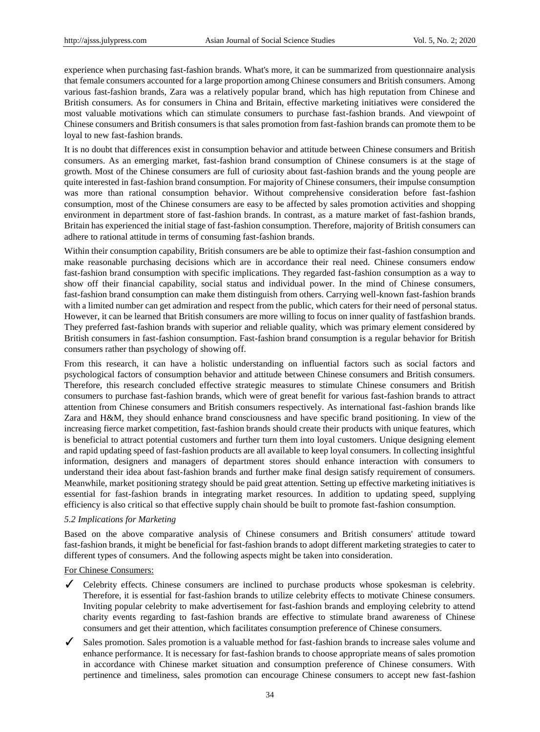experience when purchasing fast-fashion brands. What's more, it can be summarized from questionnaire analysis that female consumers accounted for a large proportion among Chinese consumers and British consumers. Among various fast-fashion brands, Zara was a relatively popular brand, which has high reputation from Chinese and British consumers. As for consumers in China and Britain, effective marketing initiatives were considered the most valuable motivations which can stimulate consumers to purchase fast-fashion brands. And viewpoint of Chinese consumers and British consumers is that sales promotion from fast-fashion brands can promote them to be loyal to new fast-fashion brands.

It is no doubt that differences exist in consumption behavior and attitude between Chinese consumers and British consumers. As an emerging market, fast-fashion brand consumption of Chinese consumers is at the stage of growth. Most of the Chinese consumers are full of curiosity about fast-fashion brands and the young people are quite interested in fast-fashion brand consumption. For majority of Chinese consumers, their impulse consumption was more than rational consumption behavior. Without comprehensive consideration before fast-fashion consumption, most of the Chinese consumers are easy to be affected by sales promotion activities and shopping environment in department store of fast-fashion brands. In contrast, as a mature market of fast-fashion brands, Britain has experienced the initial stage of fast-fashion consumption. Therefore, majority of British consumers can adhere to rational attitude in terms of consuming fast-fashion brands.

Within their consumption capability, British consumers are be able to optimize their fast-fashion consumption and make reasonable purchasing decisions which are in accordance their real need. Chinese consumers endow fast-fashion brand consumption with specific implications. They regarded fast-fashion consumption as a way to show off their financial capability, social status and individual power. In the mind of Chinese consumers, fast-fashion brand consumption can make them distinguish from others. Carrying well-known fast-fashion brands with a limited number can get admiration and respect from the public, which caters for their need of personal status. However, it can be learned that British consumers are more willing to focus on inner quality of fastfashion brands. They preferred fast-fashion brands with superior and reliable quality, which was primary element considered by British consumers in fast-fashion consumption. Fast-fashion brand consumption is a regular behavior for British consumers rather than psychology of showing off.

From this research, it can have a holistic understanding on influential factors such as social factors and psychological factors of consumption behavior and attitude between Chinese consumers and British consumers. Therefore, this research concluded effective strategic measures to stimulate Chinese consumers and British consumers to purchase fast-fashion brands, which were of great benefit for various fast-fashion brands to attract attention from Chinese consumers and British consumers respectively. As international fast-fashion brands like Zara and H&M, they should enhance brand consciousness and have specific brand positioning. In view of the increasing fierce market competition, fast-fashion brands should create their products with unique features, which is beneficial to attract potential customers and further turn them into loyal customers. Unique designing element and rapid updating speed of fast-fashion products are all available to keep loyal consumers. In collecting insightful information, designers and managers of department stores should enhance interaction with consumers to understand their idea about fast-fashion brands and further make final design satisfy requirement of consumers. Meanwhile, market positioning strategy should be paid great attention. Setting up effective marketing initiatives is essential for fast-fashion brands in integrating market resources. In addition to updating speed, supplying efficiency is also critical so that effective supply chain should be built to promote fast-fashion consumption.

## *5.2 Implications for Marketing*

Based on the above comparative analysis of Chinese consumers and British consumers' attitude toward fast-fashion brands, it might be beneficial for fast-fashion brands to adopt different marketing strategies to cater to different types of consumers. And the following aspects might be taken into consideration.

## For Chinese Consumers:

- ✓ Celebrity effects. Chinese consumers are inclined to purchase products whose spokesman is celebrity. Therefore, it is essential for fast-fashion brands to utilize celebrity effects to motivate Chinese consumers. Inviting popular celebrity to make advertisement for fast-fashion brands and employing celebrity to attend charity events regarding to fast-fashion brands are effective to stimulate brand awareness of Chinese consumers and get their attention, which facilitates consumption preference of Chinese consumers.
- ✓ Sales promotion. Sales promotion is a valuable method for fast-fashion brands to increase sales volume and enhance performance. It is necessary for fast-fashion brands to choose appropriate means of sales promotion in accordance with Chinese market situation and consumption preference of Chinese consumers. With pertinence and timeliness, sales promotion can encourage Chinese consumers to accept new fast-fashion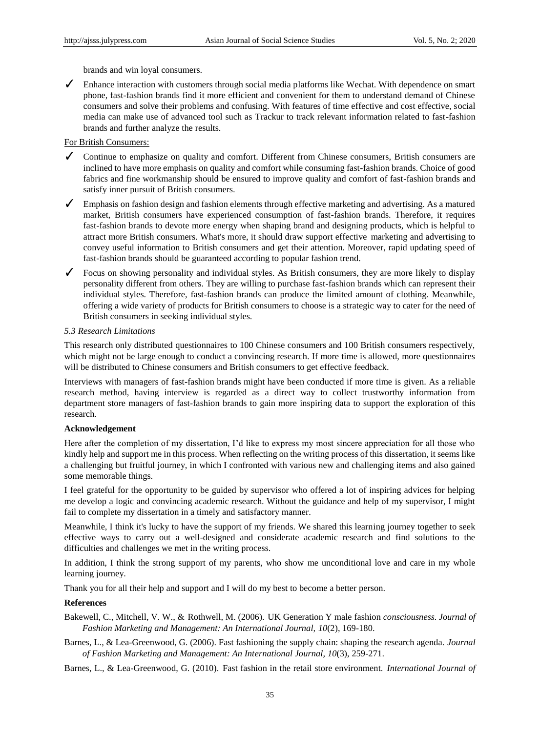brands and win loyal consumers.

✓ Enhance interaction with customers through social media platforms like Wechat. With dependence on smart phone, fast-fashion brands find it more efficient and convenient for them to understand demand of Chinese consumers and solve their problems and confusing. With features of time effective and cost effective, social media can make use of advanced tool such as Trackur to track relevant information related to fast-fashion brands and further analyze the results.

## For British Consumers:

- ✓ Continue to emphasize on quality and comfort. Different from Chinese consumers, British consumers are inclined to have more emphasis on quality and comfort while consuming fast-fashion brands. Choice of good fabrics and fine workmanship should be ensured to improve quality and comfort of fast-fashion brands and satisfy inner pursuit of British consumers.
- ✓ Emphasis on fashion design and fashion elements through effective marketing and advertising. As a matured market, British consumers have experienced consumption of fast-fashion brands. Therefore, it requires fast-fashion brands to devote more energy when shaping brand and designing products, which is helpful to attract more British consumers. What's more, it should draw support effective marketing and advertising to convey useful information to British consumers and get their attention. Moreover, rapid updating speed of fast-fashion brands should be guaranteed according to popular fashion trend.
- ✓ Focus on showing personality and individual styles. As British consumers, they are more likely to display personality different from others. They are willing to purchase fast-fashion brands which can represent their individual styles. Therefore, fast-fashion brands can produce the limited amount of clothing. Meanwhile, offering a wide variety of products for British consumers to choose is a strategic way to cater for the need of British consumers in seeking individual styles.

## *5.3 Research Limitations*

This research only distributed questionnaires to 100 Chinese consumers and 100 British consumers respectively, which might not be large enough to conduct a convincing research. If more time is allowed, more questionnaires will be distributed to Chinese consumers and British consumers to get effective feedback.

Interviews with managers of fast-fashion brands might have been conducted if more time is given. As a reliable research method, having interview is regarded as a direct way to collect trustworthy information from department store managers of fast-fashion brands to gain more inspiring data to support the exploration of this research.

#### **Acknowledgement**

Here after the completion of my dissertation, I'd like to express my most sincere appreciation for all those who kindly help and support me in this process. When reflecting on the writing process of this dissertation, it seems like a challenging but fruitful journey, in which I confronted with various new and challenging items and also gained some memorable things.

I feel grateful for the opportunity to be guided by supervisor who offered a lot of inspiring advices for helping me develop a logic and convincing academic research. Without the guidance and help of my supervisor, I might fail to complete my dissertation in a timely and satisfactory manner.

Meanwhile, I think it's lucky to have the support of my friends. We shared this learning journey together to seek effective ways to carry out a well-designed and considerate academic research and find solutions to the difficulties and challenges we met in the writing process.

In addition, I think the strong support of my parents, who show me unconditional love and care in my whole learning journey.

Thank you for all their help and support and I will do my best to become a better person.

## **References**

Bakewell, C., Mitchell, V. W., & Rothwell, M. (2006). UK Generation Y male fashion *consciousness. Journal of Fashion Marketing and Management: An International Journal, 10*(2), 169-180.

Barnes, L., & Lea-Greenwood, G. (2006). Fast fashioning the supply chain: shaping the research agenda. *Journal of Fashion Marketing and Management: An International Journal, 10*(3), 259-271.

Barnes, L., & Lea-Greenwood, G. (2010). Fast fashion in the retail store environment. *International Journal of*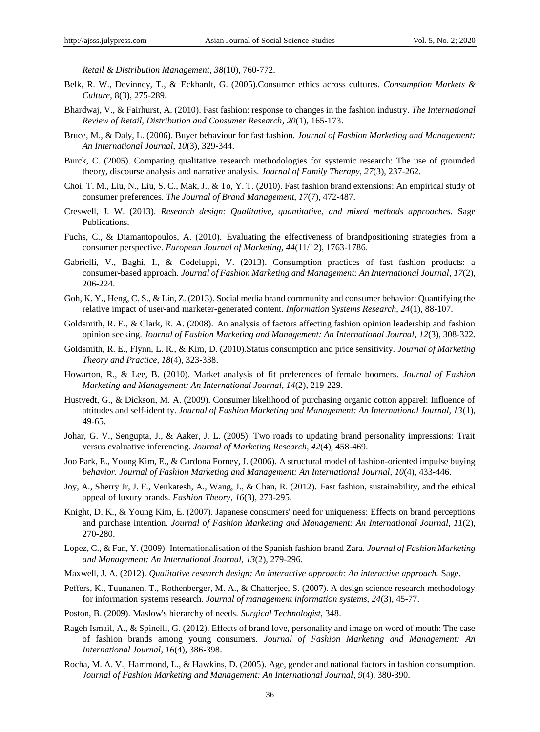*Retail & Distribution Management, 38*(10), 760-772.

- Belk, R. W., Devinney, T., & Eckhardt, G. (2005).Consumer ethics across cultures. *Consumption Markets & Culture*, 8(3), 275-289.
- Bhardwaj, V., & Fairhurst, A. (2010). Fast fashion: response to changes in the fashion industry. *The International Review of Retail, Distribution and Consumer Research*, *20*(1), 165-173.
- Bruce, M., & Daly, L. (2006). Buyer behaviour for fast fashion. *Journal of Fashion Marketing and Management: An International Journal*, *10*(3), 329-344.
- Burck, C. (2005). Comparing qualitative research methodologies for systemic research: The use of grounded theory, discourse analysis and narrative analysis. *Journal of Family Therapy, 27*(3), 237-262.
- Choi, T. M., Liu, N., Liu, S. C., Mak, J., & To, Y. T. (2010). Fast fashion brand extensions: An empirical study of consumer preferences. *The Journal of Brand Management*, *17*(7), 472-487.
- Creswell, J. W. (2013). *Research design: Qualitative, quantitative, and mixed methods approaches.* Sage Publications.
- Fuchs, C., & Diamantopoulos, A. (2010). Evaluating the effectiveness of brandpositioning strategies from a consumer perspective. *European Journal of Marketing, 44*(11/12), 1763-1786.
- Gabrielli, V., Baghi, I., & Codeluppi, V. (2013). Consumption practices of fast fashion products: a consumer-based approach. *Journal of Fashion Marketing and Management: An International Journal*, *17*(2), 206-224.
- Goh, K. Y., Heng, C. S., & Lin, Z. (2013). Social media brand community and consumer behavior: Quantifying the relative impact of user-and marketer-generated content. *Information Systems Research, 24*(1), 88-107.
- Goldsmith, R. E., & Clark, R. A. (2008). An analysis of factors affecting fashion opinion leadership and fashion opinion seeking. *Journal of Fashion Marketing and Management: An International Journal*, *12*(3), 308-322.
- Goldsmith, R. E., Flynn, L. R., & Kim, D. (2010).Status consumption and price sensitivity. *Journal of Marketing Theory and Practice, 18*(4), 323-338.
- Howarton, R., & Lee, B. (2010). Market analysis of fit preferences of female boomers. *Journal of Fashion Marketing and Management: An International Journal, 14*(2), 219-229.
- Hustvedt, G., & Dickson, M. A. (2009). Consumer likelihood of purchasing organic cotton apparel: Influence of attitudes and self-identity. *Journal of Fashion Marketing and Management: An International Journal, 13*(1), 49-65.
- Johar, G. V., Sengupta, J., & Aaker, J. L. (2005). Two roads to updating brand personality impressions: Trait versus evaluative inferencing. *Journal of Marketing Research, 42*(4), 458-469.
- Joo Park, E., Young Kim, E., & Cardona Forney, J. (2006). A structural model of fashion-oriented impulse buying *behavior. Journal of Fashion Marketing and Management: An International Journal, 10*(4), 433-446.
- Joy, A., Sherry Jr, J. F., Venkatesh, A., Wang, J., & Chan, R. (2012). Fast fashion, sustainability, and the ethical appeal of luxury brands. *Fashion Theory*, *16*(3), 273-295.
- Knight, D. K., & Young Kim, E. (2007). Japanese consumers' need for uniqueness: Effects on brand perceptions and purchase intention. *Journal of Fashion Marketing and Management: An International Journal*, *11*(2), 270-280.
- Lopez, C., & Fan, Y. (2009). Internationalisation of the Spanish fashion brand Zara. *Journal of Fashion Marketing and Management: An International Journal, 13*(2), 279-296.
- Maxwell, J. A. (2012). *Qualitative research design: An interactive approach: An interactive approach.* Sage.
- Peffers, K., Tuunanen, T., Rothenberger, M. A., & Chatterjee, S. (2007). A design science research methodology for information systems research. *Journal of management information systems, 24*(3), 45-77.
- Poston, B. (2009). Maslow's hierarchy of needs. *Surgical Technologist,* 348.
- Rageh Ismail, A., & Spinelli, G. (2012). Effects of brand love, personality and image on word of mouth: The case of fashion brands among young consumers. *Journal of Fashion Marketing and Management: An International Journal*, *16*(4), 386-398.
- Rocha, M. A. V., Hammond, L., & Hawkins, D. (2005). Age, gender and national factors in fashion consumption. *Journal of Fashion Marketing and Management: An International Journal*, *9*(4), 380-390.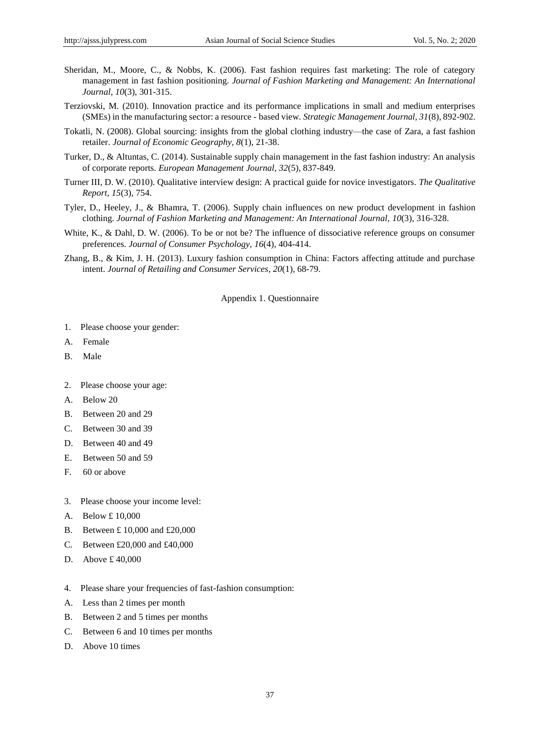- Sheridan, M., Moore, C., & Nobbs, K. (2006). Fast fashion requires fast marketing: The role of category management in fast fashion positioning. *Journal of Fashion Marketing and Management: An International Journal*, *10*(3), 301-315.
- Terziovski, M. (2010). Innovation practice and its performance implications in small and medium enterprises (SMEs) in the manufacturing sector: a resource - based view. *Strategic Management Journal, 31*(8), 892-902.
- Tokatli, N. (2008). Global sourcing: insights from the global clothing industry—the case of Zara, a fast fashion retailer. *Journal of Economic Geography, 8*(1), 21-38.
- Turker, D., & Altuntas, C. (2014). Sustainable supply chain management in the fast fashion industry: An analysis of corporate reports. *European Management Journal*, *32*(5), 837-849.
- Turner III, D. W. (2010). Qualitative interview design: A practical guide for novice investigators. *The Qualitative Report, 15*(3), 754.
- Tyler, D., Heeley, J., & Bhamra, T. (2006). Supply chain influences on new product development in fashion clothing. *Journal of Fashion Marketing and Management: An International Journal, 10*(3), 316-328.
- White, K., & Dahl, D. W. (2006). To be or not be? The influence of dissociative reference groups on consumer preferences. *Journal of Consumer Psychology, 16*(4), 404-414.
- Zhang, B., & Kim, J. H. (2013). Luxury fashion consumption in China: Factors affecting attitude and purchase intent. *Journal of Retailing and Consumer Services*, *20*(1), 68-79.

Appendix 1. Questionnaire

- 1. Please choose your gender:
- A. Female
- B. Male
- 2. Please choose your age:
- A. Below 20
- B. Between 20 and 29
- C. Between 30 and 39
- D. Between 40 and 49
- E. Between 50 and 59
- F. 60 or above
- 3. Please choose your income level:
- A. Below £ 10,000
- B. Between £ 10,000 and £20,000
- C. Between £20,000 and £40,000
- D. Above £40,000
- 4. Please share your frequencies of fast-fashion consumption:
- A. Less than 2 times per month
- B. Between 2 and 5 times per months
- C. Between 6 and 10 times per months
- D. Above 10 times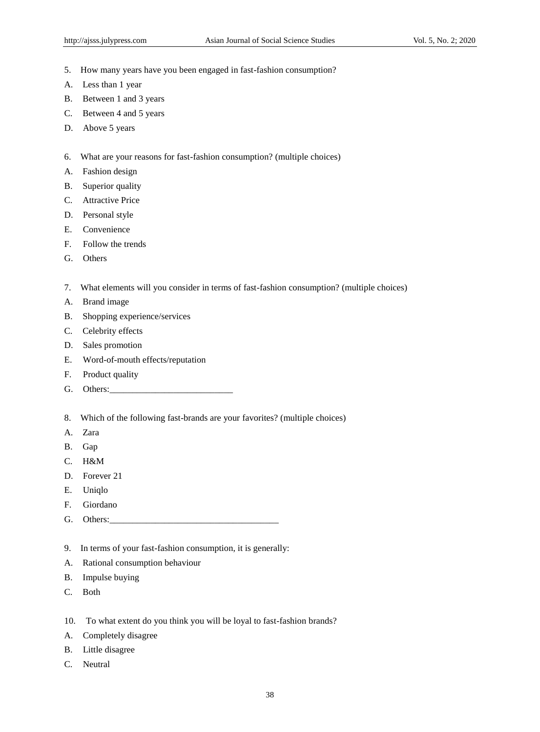- 5. How many years have you been engaged in fast-fashion consumption?
- A. Less than 1 year
- B. Between 1 and 3 years
- C. Between 4 and 5 years
- D. Above 5 years
- 6. What are your reasons for fast-fashion consumption? (multiple choices)
- A. Fashion design
- B. Superior quality
- C. Attractive Price
- D. Personal style
- E. Convenience
- F. Follow the trends
- G. Others
- 7. What elements will you consider in terms of fast-fashion consumption? (multiple choices)
- A. Brand image
- B. Shopping experience/services
- C. Celebrity effects
- D. Sales promotion
- E. Word-of-mouth effects/reputation
- F. Product quality
- G. Others:\_\_\_\_\_\_\_\_\_\_\_\_\_\_\_\_\_\_\_\_\_\_\_\_\_\_\_
- 8. Which of the following fast-brands are your favorites? (multiple choices)
- A. Zara
- B. Gap
- C. H&M
- D. Forever 21
- E. Uniqlo
- F. Giordano
- G. Others:
- 9. In terms of your fast-fashion consumption, it is generally:
- A. Rational consumption behaviour
- B. Impulse buying
- C. Both
- 10. To what extent do you think you will be loyal to fast-fashion brands?
- A. Completely disagree
- B. Little disagree
- C. Neutral